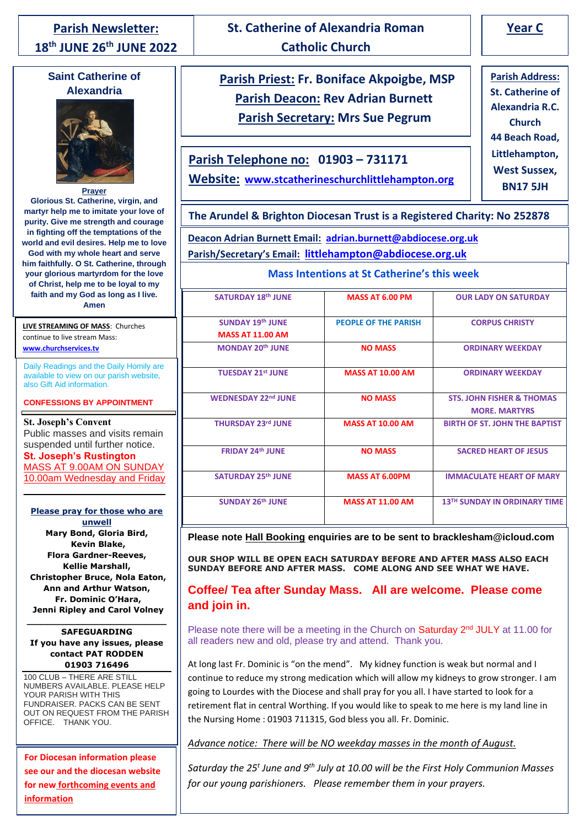# **Parish Newsletter: 18 th JUNE 26th JUNE 2022**

# **Saint Catherine of Alexandria**



**Glorious St. Catherine, virgin, and martyr help me to imitate your love of purity. Give me strength and courage in fighting off the temptations of the** 

**world and evil desires. Help me to love God with my whole heart and serve him faithfully. O St. Catherine, through your glorious martyrdom for the love of Christ, help me to be loyal to my faith and my God as long as I live. Amen**

**LIVE STREAMING OF MASS**: Churches continue to live stream Mass: **www.churchservices.tv**

**Daily Readings and the Daily Homily are** available to view on our parish website, also Gift Aid information.

#### **CONFESSIONS BY APPOINTMENT**

**St. Joseph's Convent** Public masses and visits remain suspended until further notice.

**St. Joseph's Rustington** MASS AT 9.00AM ON SUNDAY 10.00am Wednesday and Friday

\_\_\_\_\_\_\_\_\_\_\_\_\_\_\_\_\_\_\_\_\_\_\_\_\_\_

#### **Please pray for those who are unwell**

**Mary Bond, Gloria Bird, Kevin Blake, Flora Gardner-Reeves, Kellie Marshall, Christopher Bruce, Nola Eaton, Ann and Arthur Watson, Fr. Dominic O'Hara, Jenni Ripley and Carol Volney**

#### **SAFEGUARDING If you have any issues, please contact PAT RODDEN 01903 716496**

**\_\_\_\_\_\_\_\_\_\_\_\_\_\_\_\_\_\_\_\_\_\_\_\_\_**

100 CLUB – THERE ARE STILL NUMBERS AVAILABLE. PLEASE HELP YOUR PARISH WITH THIS FUNDRAISER. PACKS CAN BE SENT OUT ON REQUEST FROM THE PARISH OFFICE. THANK YOU.

**For Diocesan information please see our and the diocesan website for new forthcoming events and information**

# **St. Catherine of Alexandria Roman Catholic Church**

# **Parish Priest: Fr. Boniface Akpoigbe, MSP Parish Deacon: Rev Adrian Burnett Parish Secretary: Mrs Sue Pegrum**

**Parish Telephone no: 01903 – 731171**

**Website: www.stcatherineschurchlittlehampton.org**

**Parish Address: St. Catherine of Alexandria R.C. Church 44 Beach Road, Littlehampton, West Sussex, BN17 5JH**

# **The Arundel & Brighton Diocesan Trust is a Registered Charity: No 252878**

**Deacon Adrian Burnett Email: adrian.burnett@abdiocese.org.uk Parish/Secretary's Email: littlehampton@abdiocese.org.uk**

## **Mass Intentions at St Catherine's this week**

| <b>SATURDAY 18th JUNE</b>  | <b>MASS AT 6.00 PM</b>      | <b>OUR LADY ON SATURDAY</b>          |
|----------------------------|-----------------------------|--------------------------------------|
|                            |                             |                                      |
| <b>SUNDAY 19th JUNE</b>    | <b>PEOPLE OF THE PARISH</b> | <b>CORPUS CHRISTY</b>                |
| <b>MASS AT 11.00 AM</b>    |                             |                                      |
| <b>MONDAY 20th JUNE</b>    | <b>NO MASS</b>              | <b>ORDINARY WEEKDAY</b>              |
|                            |                             |                                      |
| <b>TUESDAY 21st JUNE</b>   | <b>MASS AT 10.00 AM</b>     | <b>ORDINARY WEEKDAY</b>              |
| <b>WEDNESDAY 22nd JUNE</b> | <b>NO MASS</b>              | <b>STS. JOHN FISHER &amp; THOMAS</b> |
|                            |                             | <b>MORE, MARTYRS</b>                 |
| <b>THURSDAY 23rd JUNE</b>  | <b>MASS AT 10.00 AM</b>     | <b>BIRTH OF ST. JOHN THE BAPTIST</b> |
|                            |                             |                                      |
| <b>FRIDAY 24th JUNE</b>    | <b>NO MASS</b>              | <b>SACRED HEART OF JESUS</b>         |
|                            |                             |                                      |
| <b>SATURDAY 25th JUNE</b>  | MASS AT 6.00PM              | <b>IMMACULATE HEART OF MARY</b>      |
|                            |                             |                                      |
| <b>SUNDAY 26th JUNE</b>    | <b>MASS AT 11.00 AM</b>     | 13TH SUNDAY IN ORDINARY TIME         |
|                            |                             |                                      |

**Please note Hall Booking enquiries are to be sent to bracklesham@icloud.com**

**OUR SHOP WILL BE OPEN EACH SATURDAY BEFORE AND AFTER MASS ALSO EACH SUNDAY BEFORE AND AFTER MASS. COME ALONG AND SEE WHAT WE HAVE.**

# **Coffee/ Tea after Sunday Mass. All are welcome. Please come and join in.**

Please note there will be a meeting in the Church on Saturday 2<sup>nd</sup> JULY at 11.00 for all readers new and old, please try and attend. Thank you.

At long last Fr. Dominic is "on the mend". My kidney function is weak but normal and I continue to reduce my strong medication which will allow my kidneys to grow stronger. I am going to Lourdes with the Diocese and shall pray for you all. I have started to look for a retirement flat in central Worthing. If you would like to speak to me here is my land line in the Nursing Home : 01903 711315, God bless you all. Fr. Dominic.

*Advance notice: There will be NO weekday masses in the month of August.*

*Saturday the 25<sup>t</sup> June and 9th July at 10.00 will be the First Holy Communion Masses for our young parishioners. Please remember them in your prayers.*

**Year C**